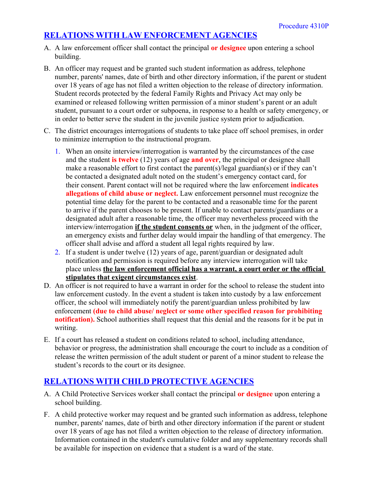## **RELATIONS WITH LAW ENFORCEMENT AGENCIES**

- A. A law enforcement officer shall contact the principal **or designee** upon entering a school building.
- B. An officer may request and be granted such student information as address, telephone number, parents' names, date of birth and other directory information, if the parent or student over 18 years of age has not filed a written objection to the release of directory information. Student records protected by the federal Family Rights and Privacy Act may only be examined or released following written permission of a minor student's parent or an adult student, pursuant to a court order or subpoena, in response to a health or safety emergency, or in order to better serve the student in the juvenile justice system prior to adjudication.
- C. The district encourages interrogations of students to take place off school premises, in order to minimize interruption to the instructional program.
	- 1. When an onsite interview/interrogation is warranted by the circumstances of the case and the student **is twelve** (12) years of age **and over**, the principal or designee shall make a reasonable effort to first contact the parent(s)/legal guardian(s) or if they can't be contacted a designated adult noted on the student's emergency contact card, for their consent. Parent contact will not be required where the law enforcement **indicates allegations of child abuse or neglect.** Law enforcement personnel must recognize the potential time delay for the parent to be contacted and a reasonable time for the parent to arrive if the parent chooses to be present. If unable to contact parents/guardians or a designated adult after a reasonable time, the officer may nevertheless proceed with the interview/interrogation **if the student consents or** when, in the judgment of the officer, an emergency exists and further delay would impair the handling of that emergency. The officer shall advise and afford a student all legal rights required by law.
	- 2. If a student is under twelve (12) years of age, parent/guardian or designated adult notification and permission is required before any interview interrogation will take place unless **the law enforcement official has a warrant, a court order or the official stipulates that exigent circumstances exist**.
- D. An officer is not required to have a warrant in order for the school to release the student into law enforcement custody. In the event a student is taken into custody by a law enforcement officer, the school will immediately notify the parent/guardian unless prohibited by law enforcement **(due to child abuse/ neglect or some other specified reason for prohibiting notification).** School authorities shall request that this denial and the reasons for it be put in writing.
- E. If a court has released a student on conditions related to school, including attendance, behavior or progress, the administration shall encourage the court to include as a condition of release the written permission of the adult student or parent of a minor student to release the student's records to the court or its designee.

## **RELATIONS WITH CHILD PROTECTIVE AGENCIES**

- A. A Child Protective Services worker shall contact the principal **or designee** upon entering a school building.
- F. A child protective worker may request and be granted such information as address, telephone number, parents' names, date of birth and other directory information if the parent or student over 18 years of age has not filed a written objection to the release of directory information. Information contained in the student's cumulative folder and any supplementary records shall be available for inspection on evidence that a student is a ward of the state.